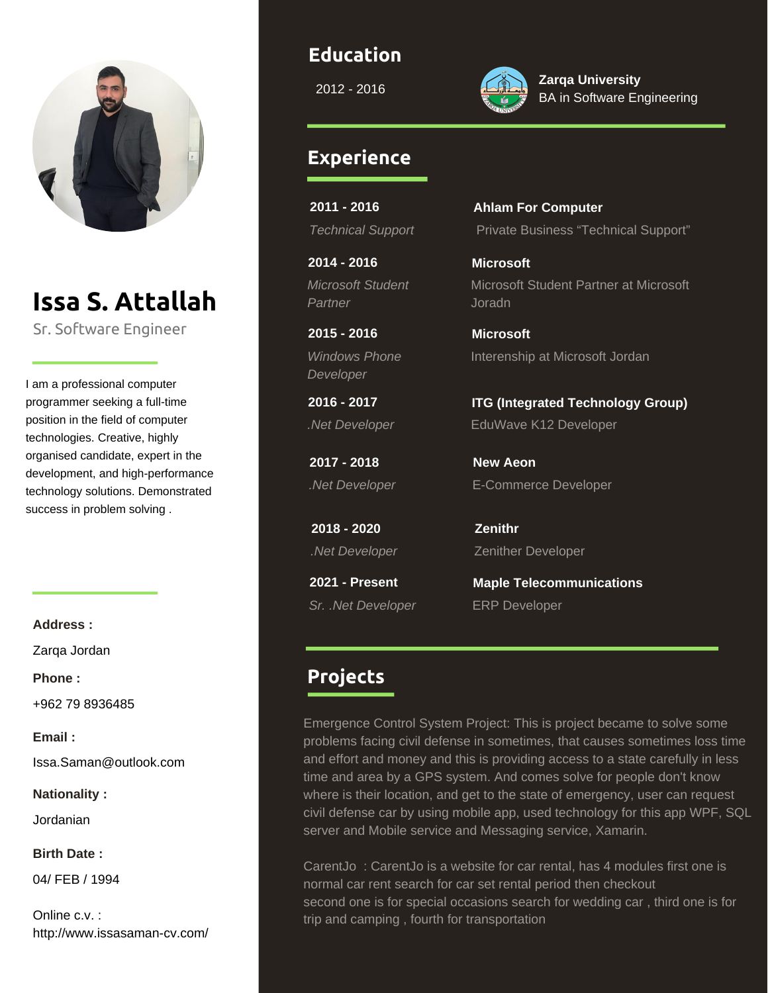

# **Issa S. Attallah**

Sr. Software Engineer

I am a professional computer programmer seeking a full-time position in the field of computer technologies. Creative, highly organised candidate, expert in the development, and high-performance technology solutions. Demonstrated success in problem solving .

**Address :**

Zarqa Jordan

**Phone :**

+962 79 8936485

**Email :**

Issa.Saman@outlook.com

**Nationality :**

Jordanian

**Birth Date :**

04/ FEB / 1994

Online c.v. : http://www.issasaman-cv.com/

#### **Education**

2012 - 2016



**Zarqa University** BA in Software Engineering

#### **Experience**

**2011 - 2016**

**2014 - 2016** *Microsoft Student Partner*

**2015 - 2016** *Windows Phone Developer*

**2016 - 2017**

**2017 - 2018**

**2018 - 2020**

**2021 - Present** *Sr. .Net Developer* ERP Developer

## *Technical Support* Private Business "Technical Support" **Ahlam For Computer**

Microsoft Student Partner at Microsoft Joradn **Microsoft**

Interenship at Microsoft Jordan **Microsoft**

*.Net Developer* EduWave K12 Developer **ITG (Integrated Technology Group)**

*.Net Developer* E-Commerce Developer **New Aeon**

*.Net Developer* Zenither Developer **Zenithr**

**Maple Telecommunications**

### **Projects**

Emergence Control System Project: This is project became to solve some problems facing civil defense in sometimes, that causes sometimes loss time and effort and money and this is providing access to a state carefully in less time and area by a GPS system. And comes solve for people don't know where is their location, and get to the state of emergency, user can request civil defense car by using mobile app, used technology for this app WPF, SQL server and Mobile service and Messaging service, Xamarin.

CarentJo : CarentJo is a website for car rental, has 4 modules first one is normal car rent search for car set rental period then checkout second one is for special occasions search for wedding car , third one is for trip and camping , fourth for transportation